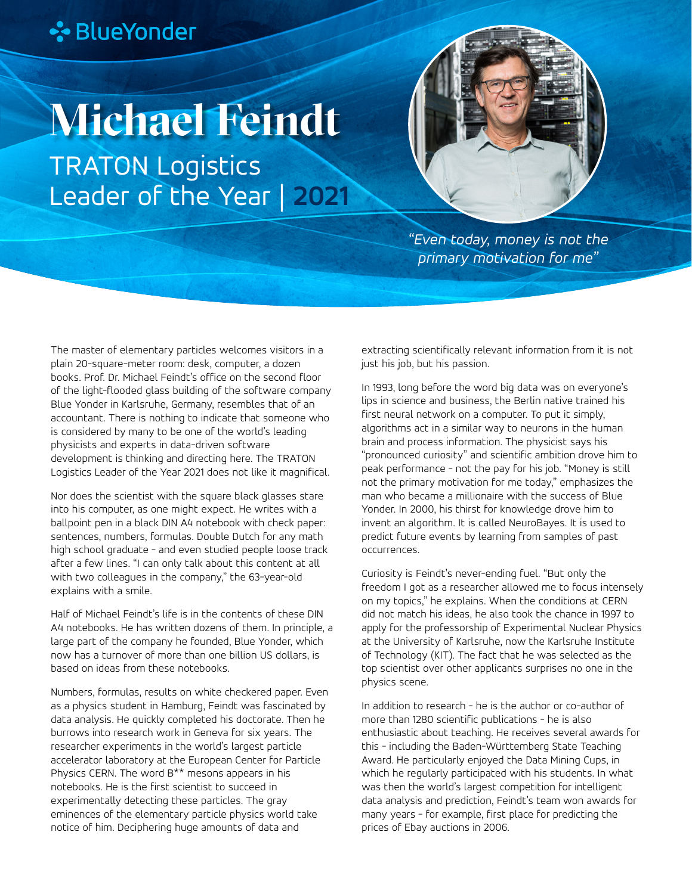## **∻**BlueYonder

## **Michael Feindt**

TRATON Logistics Leader of the Year | **2021**



*"Even today, money is not the primary motivation for me"*

The master of elementary particles welcomes visitors in a plain 20-square-meter room: desk, computer, a dozen books. Prof. Dr. Michael Feindt's office on the second floor of the light-flooded glass building of the software company Blue Yonder in Karlsruhe, Germany, resembles that of an accountant. There is nothing to indicate that someone who is considered by many to be one of the world's leading physicists and experts in data-driven software development is thinking and directing here. The TRATON Logistics Leader of the Year 2021 does not like it magnifical.

Nor does the scientist with the square black glasses stare into his computer, as one might expect. He writes with a ballpoint pen in a black DIN A4 notebook with check paper: sentences, numbers, formulas. Double Dutch for any math high school graduate - and even studied people loose track after a few lines. "I can only talk about this content at all with two colleagues in the company," the 63-year-old explains with a smile.

Half of Michael Feindt's life is in the contents of these DIN A4 notebooks. He has written dozens of them. In principle, a large part of the company he founded, Blue Yonder, which now has a turnover of more than one billion US dollars, is based on ideas from these notebooks.

Numbers, formulas, results on white checkered paper. Even as a physics student in Hamburg, Feindt was fascinated by data analysis. He quickly completed his doctorate. Then he burrows into research work in Geneva for six years. The researcher experiments in the world's largest particle accelerator laboratory at the European Center for Particle Physics CERN. The word B\*\* mesons appears in his notebooks. He is the first scientist to succeed in experimentally detecting these particles. The gray eminences of the elementary particle physics world take notice of him. Deciphering huge amounts of data and

extracting scientifically relevant information from it is not just his job, but his passion.

In 1993, long before the word big data was on everyone's lips in science and business, the Berlin native trained his first neural network on a computer. To put it simply, algorithms act in a similar way to neurons in the human brain and process information. The physicist says his "pronounced curiosity" and scientific ambition drove him to peak performance - not the pay for his job. "Money is still not the primary motivation for me today," emphasizes the man who became a millionaire with the success of Blue Yonder. In 2000, his thirst for knowledge drove him to invent an algorithm. It is called NeuroBayes. It is used to predict future events by learning from samples of past occurrences.

Curiosity is Feindt's never-ending fuel. "But only the freedom I got as a researcher allowed me to focus intensely on my topics," he explains. When the conditions at CERN did not match his ideas, he also took the chance in 1997 to apply for the professorship of Experimental Nuclear Physics at the University of Karlsruhe, now the Karlsruhe Institute of Technology (KIT). The fact that he was selected as the top scientist over other applicants surprises no one in the physics scene.

In addition to research - he is the author or co-author of more than 1280 scientific publications - he is also enthusiastic about teaching. He receives several awards for this - including the Baden-Württemberg State Teaching Award. He particularly enjoyed the Data Mining Cups, in which he regularly participated with his students. In what was then the world's largest competition for intelligent data analysis and prediction, Feindt's team won awards for many years - for example, first place for predicting the prices of Ebay auctions in 2006.